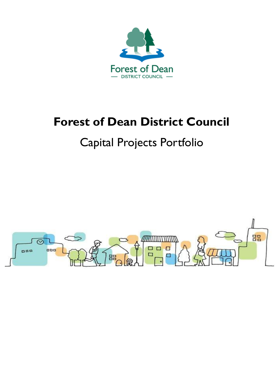

# **Forest of Dean District Council**

## Capital Projects Portfolio

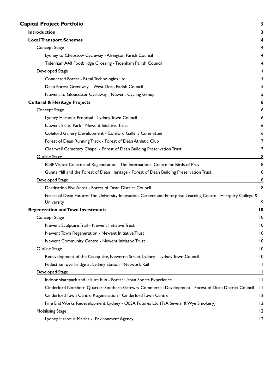| <b>Capital Project Portfolio</b>                                                                               | 3               |
|----------------------------------------------------------------------------------------------------------------|-----------------|
| <b>Introduction</b><br><b>Local Transport Schemes</b>                                                          |                 |
|                                                                                                                |                 |
| <b>Concept Stage</b>                                                                                           |                 |
| Lydney to Chepstow Cycleway - Alvington Parish Council                                                         | 4               |
| Tidenham A48 Footbridge Crossing - Tidenham Parish Council                                                     | 4               |
| Developed Stage                                                                                                |                 |
| Connected Forest - Rural Technologies Ltd                                                                      | 4               |
| Dean Forest Greenway - West Dean Parish Council                                                                | 5               |
| Newent to Gloucester Cycleway - Newent Cycling Group                                                           |                 |
| <b>Cultural &amp; Heritage Projects</b>                                                                        | 6               |
| <b>Concept Stage</b>                                                                                           | 6               |
| Lydney Harbour Proposal - Lydney Town Council                                                                  | 6               |
| Newent Skate Park - Newent Initiative Trust                                                                    | 6               |
| Coleford Gallery Development - Coleford Gallery Committee                                                      | 6               |
| Forest of Dean Running Track - Forest of Dean Athletic Club                                                    | 7               |
| Clearwell Cemetery Chapel - Forest of Dean Building Preservation Trust                                         | 7               |
| <b>Outline Stage</b>                                                                                           |                 |
| ICBP Visitor Centre and Regeneration - The International Centre for Birds of Prey                              | 8               |
| Gunns Mill and the Forest of Dean Heritage - Forest of Dean Building Preservation Trust                        | 8               |
| Developed Stage                                                                                                | 8               |
| Destination Five Acres - Forest of Dean District Council                                                       | 8               |
| Forest of Dean Futures: The University Innovation, Careers and Enterprise Learning Centre - Hartpury College & |                 |
| University                                                                                                     | 9               |
| <b>Regeneration and Town Investments</b>                                                                       | $\overline{10}$ |
| <b>Concept Stage</b>                                                                                           | 10              |
| Newent Sculpture Trail - Newent Initiative Trust                                                               | 10              |
| Newent Town Regeneration - Newent Initiative Trust                                                             | $\overline{10}$ |
| Newent Community Centre - Newent Initiative Trust                                                              | $\overline{10}$ |
| Outline Stage                                                                                                  | 10              |
| Redevelopment of the Co-op site, Newerne Street, Lydney - Lydney Town Council                                  | 10              |
| Pedestrian overbridge at Lydney Station - Network Rail                                                         | $\mathbf{H}$    |
| Developed Stage                                                                                                | $\mathbf{H}$    |
| Indoor skatepark and leisure hub - Forest Urban Sports Experience                                              | $\mathbf{H}$    |
| Cinderford Northern Quarter: Southern Gateway Commercial Development - Forest of Dean District Council         | $\mathbf{H}$    |
| Cinderford Town Centre Regeneration - Cinderford Town Centre                                                   | 12              |
| Pine End Works Redevelopment, Lydney - OLSA Futures Ltd (T/A Severn & Wye Smokery)                             | 12              |
| <b>Mobilising Stage</b>                                                                                        | <u> 12</u>      |
| Lydney Harbour Marina - Environment Agency                                                                     | 12              |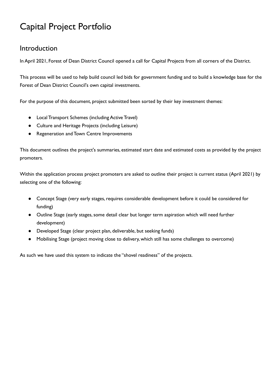## <span id="page-2-0"></span>Capital Project Portfolio

## <span id="page-2-1"></span>Introduction

In April 2021, Forest of Dean District Council opened a call for Capital Projects from all corners of the District.

 This process will be used to help build council led bids for government funding and to build a knowledge base for the Forest of Dean District Council's own capital investments.

For the purpose of this document, project submitted been sorted by their key investment themes:

- Local Transport Schemes (including Active Travel)
- Culture and Heritage Projects (including Leisure)
- Regeneration and Town Centre Improvements

 This document outlines the project's summaries, estimated start date and estimated costs as provided by the project promoters.

 Within the application process project promoters are asked to outline their project is current status (April 2021) by selecting one of the following:

- Concept Stage (very early stages, requires considerable development before it could be considered for funding)
- **•** Outline Stage (early stages, some detail clear but longer term aspiration which will need further development)
- Developed Stage (clear project plan, deliverable, but seeking funds)
- Mobilising Stage (project moving close to delivery, which still has some challenges to overcome)

As such we have used this system to indicate the "shovel readiness" of the projects.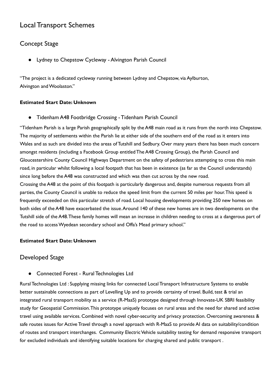## <span id="page-3-0"></span>Local Transport Schemes

## <span id="page-3-1"></span>Concept Stage

<span id="page-3-2"></span>Lydney to Chepstow Cycleway - Alvington Parish Council

 "The project is a dedicated cycleway running between Lydney and Chepstow, via Aylburton, Alvington andWoolaston."

#### <span id="page-3-3"></span> **Estimated Start Date: Unknown**

● Tidenham A48 Footbridge Crossing - Tidenham Parish Council

 "Tidenham Parish is a large Parish geographically split by the A48 main road as it runs from the north into Chepstow. The majority of settlements within the Parish lie at either side of the southern end of the road as it enters into Wales and as such are divided into the areas of Tutshill and Sedbury. Over many years there has been much concern amongst residents (including a Facebook Group entitled The A48 Crossing Group), the Parish Council and Gloucestershire County Council Highways Department on the safety of pedestrians attempting to cross this main road, in particular whilst following a local footpath that has been in existence (as far as the Council understands) since long before the A48 was constructed and which was then cut across by the new road.

 Crossing the A48 at the point of this footpath is particularly dangerous and, despite numerous requests from all parties, the County Council is unable to reduce the speed limit from the current 50 miles per hour.This speed is frequently exceeded on this particular stretch of road. Local housing developments providing 250 new homes on both sides of the A48 have exacerbated the issue.Around 140 of these new homes are in two developments on the Tutshill side of the A48.These family homes will mean an increase in children needing to cross at a dangerous part of the road to accessWyedean secondary school and Offa's Mead primary school."

#### <span id="page-3-4"></span> **Estimated Start Date: Unknown**

#### Developed Stage

<span id="page-3-5"></span>● Connected Forest - Rural Technologies Ltd

 Rural Technologies Ltd : Supplying missing links for connected Local Transport Infrastructure Systems to enable better sustainable connections as part of Levelling Up and to provide certainty of travel. Build, test & trial an integrated rural transport mobility as a service (R-MaaS) prototype designed through Innovate-UK SBRI feasibility study for Geospatial Commission.This prototype uniquely focuses on rural areas and the need for shared and active travel using available services. Combined with novel cyber-security and privacy protection. Overcoming awareness & safe routes issues for Active Travel through a novel approach with R-MaaS to provide AI data on suitability/condition of routes and transport interchanges. Community Electric Vehicle suitability testing for demand responsive transport for excluded individuals and identifying suitable locations for charging shared and public transport .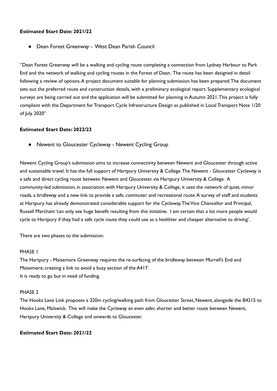#### <span id="page-4-0"></span> **Estimated Start Date: 2021/22**

● Dean Forest Greenway - West Dean Parish Council

 "Dean Forest Greenway will be a walking and cycling route completing a connection from Lydney Harbour to Park End and the network of walking and cycling routes in the Forest of Dean. The route has been designed in detail following a review of options.A project document suitable for planning submission has been prepared.The document sets out the preferred route and construction details, with a preliminary ecological report. Supplementary ecological surveys are being carried out and the application will be submitted for planning in Autumn 2021.This project is fully compliant with the Department for Transport Cycle Infrastructure Design as published in Local Transport Note 1/20 of July 2020"

#### <span id="page-4-1"></span> **Estimated Start Date: 2022/23**

● Newent to Gloucester Cycleway - Newent Cycling Group

 Newent Cycling Group's submission aims to increase connectivity between Newent and Gloucester through active and sustainable travel. It has the full support of Hartpury University & College.The Newent - Gloucester Cycleway is a safe and direct cycling route between Newent and Gloucester, via Hartpury University & College. A community-led submission, in association with Hartpury University & College, it uses the network of quiet, minor roads, a bridleway and a new link to provide a safe, commuter and recreational route.A survey of staff and students at Hartpury has already demonstrated considerable support for the Cycleway.TheVice Chancellor and Principal, Russell Marchant 'can only see huge benefit resulting from this initiative. I am certain that a lot more people would cycle to Hartpury if they had a safe cycle route they could use as a healthier and cheaper alternative to driving'.

There are two phases to the submission:

#### PHASE 1

 The Hartpury - Maisemore Greenway requires the re-surfacing of the bridleway between Murrell's End and Maisemore, creating a link to avoid a busy section of the A417. It is ready to go but in need of funding.

#### PHASE 2

 The Hooks Lane Link proposes a 320m cycling/walking path from Gloucester Street, Newent, alongside the B4215 to Hooks Lane, Malswick. This will make the Cycleway an even safer, shorter and better route between Newent, Hartpury University & College and onwards to Gloucester.

#### **Estimated Start Date: 2021/22**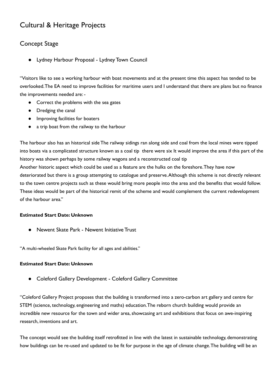## <span id="page-5-0"></span>Cultural & Heritage Projects

## <span id="page-5-1"></span>Concept Stage

<span id="page-5-2"></span>Lydney Harbour Proposal - Lydney Town Council

 "Visitors like to see a working harbour with boat movements and at the present time this aspect has tended to be overlooked.The EA need to improve facilities for maritime users and I understand that there are plans but no finance the improvements needed are: -

- Correct the problems with the sea gates
- Dredging the canal
- Improving facilities for boaters
- a trip boat from the railway to the harbour

 The harbour also has an historical side The railway sidings ran along side and coal from the local mines were tipped into boats via a complicated structure known as a coal tip there were six It would improve the area if this part of the history was shown perhaps by some railway wagons and a reconstructed coal tip

 Another historic aspect which could be used as a feature are the hulks on the foreshore.They have now deteriorated but there is a group attempting to catalogue and preserve.Although this scheme is not directly relevant to the town centre projects such as these would bring more people into the area and the benefits that would follow. These ideas would be part of the historical remit of the scheme and would complement the current redevelopment of the harbour area."

#### <span id="page-5-3"></span>**Estimated Start Date: Unknown**

● Newent Skate Park - Newent Initiative Trust

"A multi-wheeled Skate Park facility for all ages and abilities."

#### <span id="page-5-4"></span>**Estimated Start Date: Unknown**

● Coleford Gallery Development - Coleford Gallery Committee

 "Coleford Gallery Project proposes that the building is transformed into a zero-carbon art gallery and centre for STEM (science, technology, engineering and maths) education.The reborn church building would provide an incredible new resource for the town and wider area, showcasing art and exhibitions that focus on awe-inspiring research, inventions and art.

 The concept would see the building itself retrofitted in line with the latest in sustainable technology, demonstrating how buildings can be re-used and updated to be fit for purpose in the age of climate change.The building will be an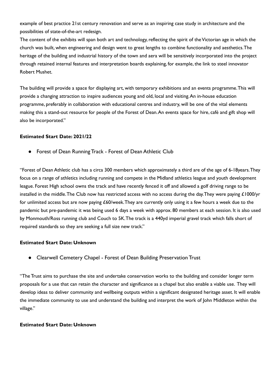example of best practice 21st century renovation and serve as an inspiring case study in architecture and the possibilities of state-of-the-art redesign.

The content of the exhibits will span both art and technology, reflecting the spirit of the Victorian age in which the church was built, when engineering and design went to great lengths to combine functionality and aesthetics.The heritage of the building and industrial history of the town and aera will be sensitively incorporated into the project through retained internal features and interpretation boards explaining, for example, the link to steel innovator Robert Mushet.

 The building will provide a space for displaying art, with temporary exhibitions and an events programme.This will provide a changing attraction to inspire audiences young and old, local and [visiting.An](https://visiting.An) in-house education programme, preferably in collaboration with educational centres and industry, will be one of the vital elements making this a stand-out resource for people of the Forest of Dean.An events space for hire, café and gift shop will also be incorporated."

#### <span id="page-6-0"></span> **Estimated Start Date: 2021/22**

● Forest of Dean Running Track - Forest of Dean Athletic Club

 "Forest of Dean Athletic club has a circa 300 members which approximately a third are of the age of 6-18years.They focus on a range of athletics including running and compete in the Midland athletics league and youth development league. Forest High school owns the track and have recently fenced it off and allowed a golf driving range to be installed in the middle.The Club now has restricted access with no access during the day.They were paying £1000/yr for unlimited access but are now paying £60/week.They are currently only using it a few hours a week due to the pandemic but pre-pandemic it was being used 6 days a week with approx. 80 members at each session. It is also used by Monmouth/Ross running club and Couch to 5K.The track is a 440yd imperial gravel track which falls short of required standards so they are seeking a full size new track."

#### <span id="page-6-1"></span> **Estimated Start Date: Unknown**

● Clearwell Cemetery Chapel - Forest of Dean Building Preservation Trust

 "The Trust aims to purchase the site and undertake conservation works to the building and consider longer term proposals for a use that can retain the character and significance as a chapel but also enable a viable use. They will develop ideas to deliver community and wellbeing outputs within a significant designated heritage asset. It will enable the immediate community to use and understand the building and interpret the work of John Middleton within the village."

#### **Estimated Start Date: Unknown**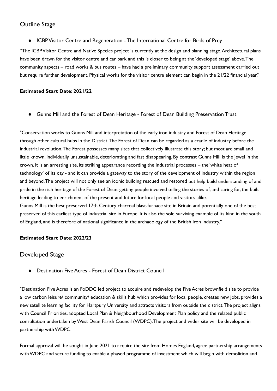## <span id="page-7-0"></span>Outline Stage

<span id="page-7-1"></span>● ICBP Visitor Centre and Regeneration - The International Centre for Birds of Prey

 "The ICBPVisitor Centre and Native Species project is currently at the design and planning stage.Architectural plans have been drawn for the visitor centre and car park and this is closer to being at the 'developed stage' above.The community aspects – road works & bus routes – have had a preliminary community support assessment carried out but require further development. Physical works for the visitor centre element can begin in the 21/22 financial year."

#### **Estimated Start Date: 2021/22**

<span id="page-7-2"></span>● Gunns Mill and the Forest of Dean Heritage - Forest of Dean Building Preservation Trust

 "Conservation works to Gunns Mill and interpretation of the early iron industry and Forest of Dean Heritage through other cultural hubs in the District.The Forest of Dean can be regarded as a cradle of industry before the industrial revolution.The Forest possesses many sites that collectively illustrate this story; but most are small and little known, individually unsustainable, deteriorating and fast disappearing. By contrast Gunns Mill is the jewel in the crown. It is an arresting site, its striking appearance recording the industrial processes – the 'white heat of technology' of its day - and it can provide a gateway to the story of the development of industry within the region and beyond.The project will not only see an iconic building rescued and restored but help build understanding of and pride in the rich heritage of the Forest of Dean, getting people involved telling the stories of, and caring for, the built heritage leading to enrichment of the present and future for local people and visitors alike. Gunns Mill is the best preserved 17th Century charcoal blast-furnace site in Britain and potentially one of the best

 preserved of this earliest type of industrial site in Europe. It is also the sole surviving example of its kind in the south of England, and is therefore of national significance in the archaeology of the British iron industry."

#### <span id="page-7-3"></span> **Estimated Start Date: 2022/23**

## Developed Stage

<span id="page-7-4"></span>**Destination Five Acres - Forest of Dean District Council** 

 "Destination Five Acres is an FoDDC led project to acquire and redevelop the Five Acres brownfield site to provide a low carbon leisure/ community/ education & skills hub which provides for local people, creates new jobs, provides a new satellite learning facility for Hartpury University and attracts visitors from outside the district.The project aligns with Council Priorities, adopted Local Plan & Neighbourhood Development Plan policy and the related public consultation undertaken byWest Dean Parish Council (WDPC).The project and wider site will be developed in partnership withWDPC.

 Formal approval will be sought in June 2021 to acquire the site from Homes England, agree partnership arrangements withWDPC and secure funding to enable a phased programme of investment which will begin with demolition and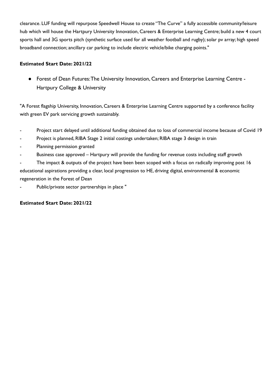clearance. LUF funding will repurpose Speedwell House to create "The Curve" a fully accessible community/leisure hub which will house the Hartpury University Innovation, Careers & Enterprise Learning Centre; build a new 4 court sports hall and 3G sports pitch (synthetic surface used for all weather football and rugby); solar pv array; high speed broadband connection; ancillary car parking to include electric vehicle/bike charging points."

#### **Estimated Start Date: 2021/22**

<span id="page-8-0"></span>● Forest of Dean Futures:The University Innovation, Careers and Enterprise Learning Centre - Hartpury College & University

 "A Forest flagship University, Innovation, Careers & Enterprise Learning Centre supported by a conference facility with green EV park servicing growth sustainably.

- Project start delayed until additional funding obtained due to loss of commercial income because of Covid 19
- Project is planned, RIBA Stage 2 initial costings undertaken; RIBA stage 3 design in train
- Planning permission granted
- Business case approved Hartpury will provide the funding for revenue costs including staff growth

 - The impact & outputs of the project have been been scoped with a focus on radically improving post 16 educational aspirations providing a clear, local progression to HE, driving digital, environmental & economic regeneration in the Forest of Dean

- Public/private sector partnerships in place "

#### **Estimated Start Date: 2021/22**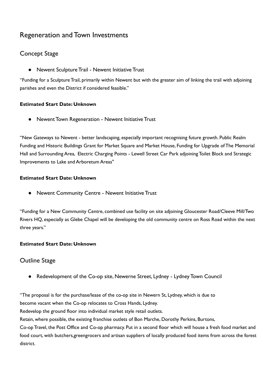## <span id="page-9-0"></span>Regeneration and Town Investments

## <span id="page-9-1"></span>Concept Stage

<span id="page-9-2"></span>● Newent Sculpture Trail - Newent Initiative Trust

 "Funding for a Sculpture Trail, primarily within Newent but with the greater aim of linking the trail with adjoining parishes and even the District if considered feasible."

#### <span id="page-9-3"></span> **Estimated Start Date: Unknown**

● Newent Town Regeneration - Newent Initiative Trust

 "New Gateways to Newent - better landscaping, especially important recognising future growth. Public Realm Funding and Historic Buildings Grant for Market Square and Market House, Funding for Upgrade of The Memorial Hall and Surrounding Area, Electric Charging Points - Lewell Street Car Park adjoining Toilet Block and Strategic Improvements to Lake and Arboretum Areas''

#### <span id="page-9-4"></span> **Estimated Start Date: Unknown**

● Newent Community Centre - Newent Initiative Trust

 "Funding for a New Community Centre, combined use facility on site adjoining Gloucester Road/Cleeve Mill/Two Rivers HQ, especially as Glebe Chapel will be developing the old community centre on Ross Road within the next three years."

#### <span id="page-9-5"></span> **Estimated Start Date: Unknown**

### Outline Stage

<span id="page-9-6"></span>● Redevelopment of the Co-op site, Newerne Street, Lydney - Lydney Town Council

 "The proposal is for the purchase/lease of the co-op site in Newern St, Lydney, which is due to become vacant when the Co-op relocates to Cross Hands, Lydney. Redevelop the ground floor into individual market style retail outlets. Retain, where possible, the existing franchise outlets of Bon Marche, Dorothy Perkins, Burtons, Co-op Travel, the Post Office and Co-op pharmacy. Put in a second floor which will house a fresh food market and food court, with butchers,greengrocers and artisan suppliers of locally produced food items from across the forest district.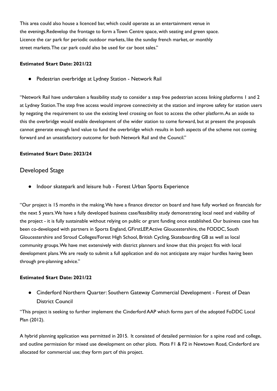This area could also house a licenced bar, which could operate as an entertainment venue in the evenings.Redevelop the frontage to form a Town Centre space, with seating and green space. Licence the car park for periodic outdoor markets, like the sunday french market, or monthly street markets.The car park could also be used for car boot sales."

#### <span id="page-10-0"></span> **Estimated Start Date: 2021/22**

● Pedestrian overbridge at Lydney Station - Network Rail

 "Network Rail have undertaken a feasibility study to consider a step free pedestrian access linking platforms 1 and 2 at Lydney Station.The step free access would improve connectivity at the station and improve safety for station users by negating the requirement to use the existing level crossing on foot to access the other [platform.As](https://platform.As) an aside to this the overbridge would enable development of the wider station to come forward, but at present the proposals cannot generate enough land value to fund the overbridge which results in both aspects of the scheme not coming forward and an unsatisfactory outcome for both Network Rail and the Council."

#### <span id="page-10-1"></span> **Estimated Start Date: 2023/24**

#### Developed Stage

<span id="page-10-2"></span>● Indoor skatepark and leisure hub - Forest Urban Sports Experience

 "Our project is 15 months in the [making.We](https://making.We) have a finance director on board and have fully worked on financials for the next 5 [years.We](https://years.We) have a fully developed business case/feasibility study demonstrating local need and viability of the project - it is fully sustainable without relying on public or grant funding once established. Our business case has been co-developed with partners in Sports England, GFirstLEP,Active Gloucestershire, the FODDC, South Gloucestershire and Stroud Colleges/Forest High School, British Cycling, Skateboarding GB as well as local community [groups.We](https://groups.We) have met extensively with district planners and know that this project fits with local development [plans.We](https://plans.We) are ready to submit a full application and do not anticipate any major hurdles having been through pre-planning advice."

#### **Estimated Start Date: 2021/22**

<span id="page-10-3"></span>● Cinderford Northern Quarter: Southern Gateway Commercial Development - Forest of Dean District Council

 "This project is seeking to further implement the Cinderford AAP which forms part of the adopted FoDDC Local Plan (2012).

 A hybrid planning application was permitted in 2015. It consisted of detailed permission for a spine road and college, and outline permission for mixed use development on other plots. Plots F1 & F2 in Newtown Road, Cinderford are allocated for commercial use; they form part of this project.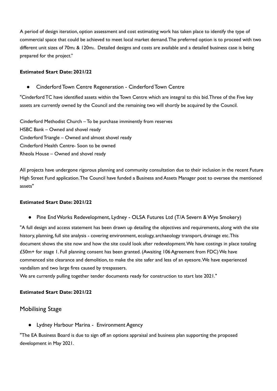A period of design iteration, option assessment and cost estimating work has taken place to identify the type of commercial space that could be achieved to meet local market demand.The preferred option is to proceed with two different unit sizes of 70m2 & 120m2. Detailed designs and costs are available and a detailed business case is being prepared for the project."

#### <span id="page-11-0"></span> **Estimated Start Date: 2021/22**

Cinderford Town Centre Regeneration - Cinderford Town Centre

 "Cinderford TC have identified assets within the Town Centre which are integral to this bid.Three of the Five key assets are currently owned by the Council and the remaining two will shortly be acquired by the Council.

 Cinderford Methodist Church – To be purchase imminently from reserves HSBC Bank – Owned and shovel ready Cinderford Triangle – Owned and almost shovel ready Cinderford Health Centre- Soon to be owned Rheola House – Owned and shovel ready

 All projects have undergone rigorous planning and community consultation due to their inclusion in the recent Future High Street Fund application.The Council have funded a Business and Assets Manager post to oversee the mentioned assets"

#### <span id="page-11-1"></span> **Estimated Start Date: 2021/22**

● Pine End Works Redevelopment, Lydney - OLSA Futures Ltd (T/A Severn & Wye Smokery)

 "A full design and access statement has been drawn up detailing the objectives and requirements, along with the site history, planning, full site analysis - covering environment, ecology, archaeology transport, drainage etc.This document shows the site now and how the site could look after [redevelopment.We](https://redevelopment.We) have costings in place totaling £50m+ for stage 1. Full planning consent has been granted. (Awaiting 106 Agreement from FDC) We have commenced site clearance and demolition, to make the site safer and less of an [eyesore.We](https://eyesore.We) have experienced vandalism and two large fires caused by trespassers.

We are currently pulling together tender documents ready for construction to start late 2021."

#### <span id="page-11-2"></span> **Estimated Start Date: 2021/22**

#### <span id="page-11-3"></span>Mobilising Stage

● Lydney Harbour Marina - Environment Agency

 "The EA Business Board is due to sign off an options appraisal and business plan supporting the proposed development in May 2021.